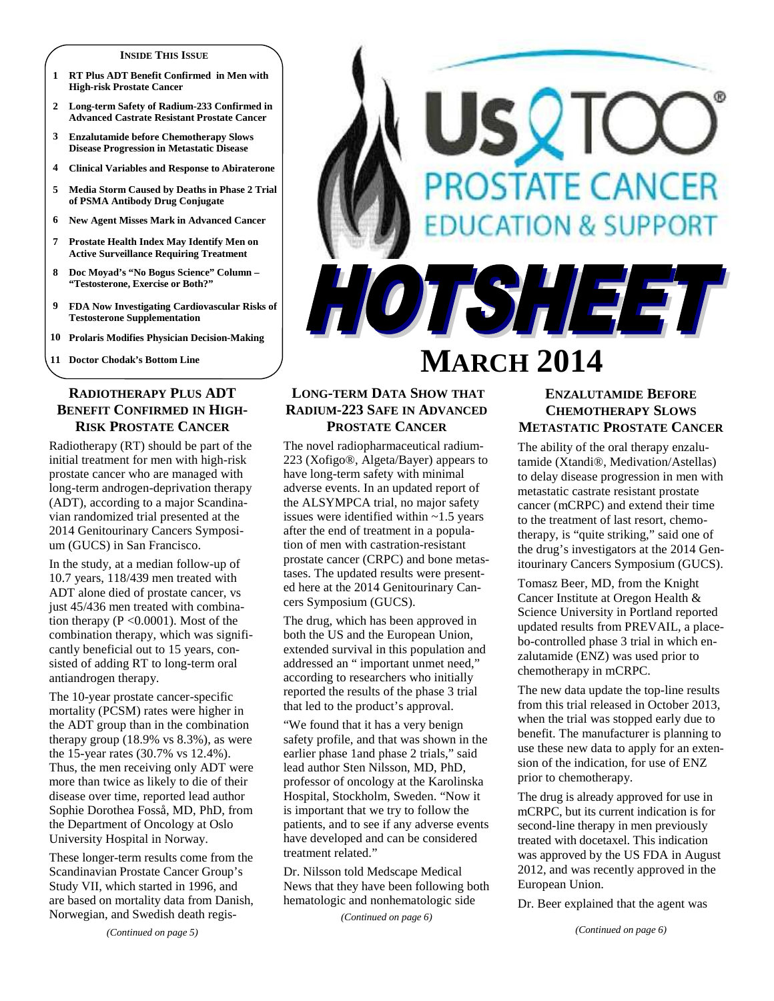#### **INSIDE THIS ISSUE**

- **1 RT Plus ADT Benefit Confirmed in Men with High-risk Prostate Cancer**
- **2 Long-term Safety of Radium-233 Confirmed in Advanced Castrate Resistant Prostate Cancer**
- **3 Enzalutamide before Chemotherapy Slows Disease Progression in Metastatic Disease**
- **4 Clinical Variables and Response to Abiraterone**
- **5 Media Storm Caused by Deaths in Phase 2 Trial of PSMA Antibody Drug Conjugate**
- **6 New Agent Misses Mark in Advanced Cancer**
- **7 Prostate Health Index May Identify Men on Active Surveillance Requiring Treatment**
- **8 Doc Moyad's "No Bogus Science" Column "Testosterone, Exercise or Both?"**
- **9 FDA Now Investigating Cardiovascular Risks of Testosterone Supplementation**
- **10 Prolaris Modifies Physician Decision-Making**

**11 Doctor Chodak's Bottom Line** 

## **RADIOTHERAPY PLUS ADT BENEFIT CONFIRMED IN HIGH-RISK PROSTATE CANCER**

Radiotherapy (RT) should be part of the initial treatment for men with high-risk prostate cancer who are managed with long-term androgen-deprivation therapy (ADT), according to a major Scandinavian randomized trial presented at the 2014 Genitourinary Cancers Symposium (GUCS) in San Francisco.

In the study, at a median follow-up of 10.7 years, 118/439 men treated with ADT alone died of prostate cancer, vs just 45/436 men treated with combination therapy  $(P \le 0.0001)$ . Most of the combination therapy, which was significantly beneficial out to 15 years, consisted of adding RT to long-term oral antiandrogen therapy.

The 10-year prostate cancer-specific mortality (PCSM) rates were higher in the ADT group than in the combination therapy group  $(18.9\% \text{ vs } 8.3\%)$ , as were the 15-year rates (30.7% vs 12.4%). Thus, the men receiving only ADT were more than twice as likely to die of their disease over time, reported lead author Sophie Dorothea Fosså, MD, PhD, from the Department of Oncology at Oslo University Hospital in Norway.

These longer-term results come from the Scandinavian Prostate Cancer Group's Study VII, which started in 1996, and are based on mortality data from Danish, Norwegian, and Swedish death regis-

# **STATE CANCER** DN & SUPPO HOTSHEET **MARCH 2014**

# **LONG-TERM DATA SHOW THAT RADIUM-223 SAFE IN ADVANCED PROSTATE CANCER**

The novel radiopharmaceutical radium-223 (Xofigo®, Algeta/Bayer) appears to have long-term safety with minimal adverse events. In an updated report of the ALSYMPCA trial, no major safety issues were identified within ~1.5 years after the end of treatment in a population of men with castration-resistant prostate cancer (CRPC) and bone metastases. The updated results were presented here at the 2014 Genitourinary Cancers Symposium (GUCS).

The drug, which has been approved in both the US and the European Union, extended survival in this population and addressed an " important unmet need," according to researchers who initially reported the results of the phase 3 trial that led to the product's approval.

"We found that it has a very benign safety profile, and that was shown in the earlier phase 1and phase 2 trials," said lead author Sten Nilsson, MD, PhD, professor of oncology at the Karolinska Hospital, Stockholm, Sweden. "Now it is important that we try to follow the patients, and to see if any adverse events have developed and can be considered treatment related."

Dr. Nilsson told Medscape Medical News that they have been following both hematologic and nonhematologic side

*(Continued on page 6)* 

# **ENZALUTAMIDE BEFORE CHEMOTHERAPY SLOWS METASTATIC PROSTATE CANCER**

The ability of the oral therapy enzalutamide (Xtandi®, Medivation/Astellas) to delay disease progression in men with metastatic castrate resistant prostate cancer (mCRPC) and extend their time to the treatment of last resort, chemotherapy, is "quite striking," said one of the drug's investigators at the 2014 Genitourinary Cancers Symposium (GUCS).

Tomasz Beer, MD, from the Knight Cancer Institute at Oregon Health & Science University in Portland reported updated results from PREVAIL, a placebo-controlled phase 3 trial in which enzalutamide (ENZ) was used prior to chemotherapy in mCRPC.

The new data update the top-line results from this trial released in October 2013, when the trial was stopped early due to benefit. The manufacturer is planning to use these new data to apply for an extension of the indication, for use of ENZ prior to chemotherapy.

The drug is already approved for use in mCRPC, but its current indication is for second-line therapy in men previously treated with docetaxel. This indication was approved by the US FDA in August 2012, and was recently approved in the European Union.

Dr. Beer explained that the agent was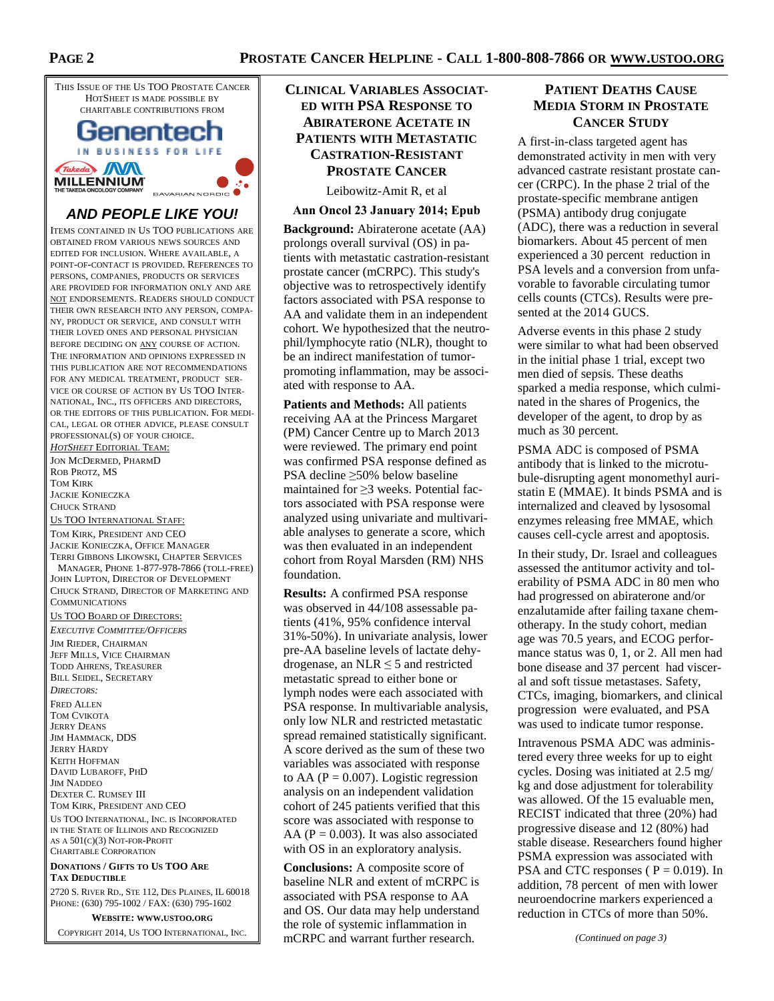THIS ISSUE OF THE US TOO PROSTATE CANCER HOTSHEET IS MADE POSSIBLE BY CHARITABLE CONTRIBUTIONS FROM Genentech IN BUSINESS FOR LIFE Takeda MM **MILLENNIUM** BAVARIAN NORDIC

# **AND PEOPLE LIKE YOU!**

ITEMS CONTAINED IN US TOO PUBLICATIONS ARE OBTAINED FROM VARIOUS NEWS SOURCES AND EDITED FOR INCLUSION. WHERE AVAILABLE, A POINT-OF-CONTACT IS PROVIDED. REFERENCES TO PERSONS, COMPANIES, PRODUCTS OR SERVICES ARE PROVIDED FOR INFORMATION ONLY AND ARE NOT ENDORSEMENTS. READERS SHOULD CONDUCT THEIR OWN RESEARCH INTO ANY PERSON, COMPA-NY, PRODUCT OR SERVICE, AND CONSULT WITH THEIR LOVED ONES AND PERSONAL PHYSICIAN BEFORE DECIDING ON ANY COURSE OF ACTION. THE INFORMATION AND OPINIONS EXPRESSED IN THIS PUBLICATION ARE NOT RECOMMENDATIONS FOR ANY MEDICAL TREATMENT, PRODUCT SER-VICE OR COURSE OF ACTION BY US TOO INTER-NATIONAL, INC., ITS OFFICERS AND DIRECTORS, OR THE EDITORS OF THIS PUBLICATION. FOR MEDI-CAL, LEGAL OR OTHER ADVICE, PLEASE CONSULT PROFESSIONAL(S) OF YOUR CHOICE.

*HOTSHEET* EDITORIAL TEAM: JON MCDERMED, PHARMD ROB PROTZ, MS TOM KIRK JACKIE KONIECZKA CHUCK STRAND

US TOO INTERNATIONAL STAFF: TOM KIRK, PRESIDENT AND CEO JACKIE KONIECZKA, OFFICE MANAGER TERRI GIBBONS LIKOWSKI, CHAPTER SERVICES MANAGER, PHONE 1-877-978-7866 (TOLL-FREE) JOHN LUPTON, DIRECTOR OF DEVELOPMENT CHUCK STRAND, DIRECTOR OF MARKETING AND COMMUNICATIONS

US TOO BOARD OF DIRECTORS:

*EXECUTIVE COMMITTEE/OFFICERS* JIM RIEDER, CHAIRMAN JEFF MILLS, VICE CHAIRMAN TODD AHRENS, TREASURER BILL SEIDEL, SECRETARY *DIRECTORS:*  FRED ALLEN TOM CVIKOTA JERRY DEANS JIM HAMMACK, DDS JERRY HARDY KEITH HOFFMAN DAVID LUBAROFF, PHD JIM NADDEO DEXTER C. RUMSEY III TOM KIRK, PRESIDENT AND CEO US TOO INTERNATIONAL, INC. IS INCORPORATED IN THE STATE OF ILLINOIS AND RECOGNIZED AS A 501(C)(3) NOT-FOR-PROFIT CHARITABLE CORPORATION

**DONATIONS / GIFTS TO US TOO ARE TAX DEDUCTIBLE**

2720 S. RIVER RD., STE 112, DES PLAINES, IL 60018 PHONE: (630) 795-1002 / FAX: (630) 795-1602

**WEBSITE: WWW.USTOO.ORG** COPYRIGHT 2014, US TOO INTERNATIONAL, INC.

# **CLINICAL VARIABLES ASSOCIAT-ED WITH PSA RESPONSE TO ABIRATERONE ACETATE IN PATIENTS WITH METASTATIC CASTRATION-RESISTANT PROSTATE CANCER**

Leibowitz-Amit R, et al

#### **Ann Oncol 23 January 2014; Epub**

**Background:** Abiraterone acetate (AA) prolongs overall survival (OS) in patients with metastatic castration-resistant prostate cancer (mCRPC). This study's objective was to retrospectively identify factors associated with PSA response to AA and validate them in an independent cohort. We hypothesized that the neutrophil/lymphocyte ratio (NLR), thought to be an indirect manifestation of tumorpromoting inflammation, may be associated with response to AA.

**Patients and Methods:** All patients receiving AA at the Princess Margaret (PM) Cancer Centre up to March 2013 were reviewed. The primary end point was confirmed PSA response defined as PSA decline ≥50% below baseline maintained for ≥3 weeks. Potential factors associated with PSA response were analyzed using univariate and multivariable analyses to generate a score, which was then evaluated in an independent cohort from Royal Marsden (RM) NHS foundation.

**Results:** A confirmed PSA response was observed in 44/108 assessable patients (41%, 95% confidence interval 31%-50%). In univariate analysis, lower pre-AA baseline levels of lactate dehydrogenase, an NLR  $\leq$  5 and restricted metastatic spread to either bone or lymph nodes were each associated with PSA response. In multivariable analysis, only low NLR and restricted metastatic spread remained statistically significant. A score derived as the sum of these two variables was associated with response to AA ( $P = 0.007$ ). Logistic regression analysis on an independent validation cohort of 245 patients verified that this score was associated with response to AA ( $P = 0.003$ ). It was also associated with OS in an exploratory analysis.

**Conclusions:** A composite score of baseline NLR and extent of mCRPC is associated with PSA response to AA and OS. Our data may help understand the role of systemic inflammation in mCRPC and warrant further research.

# **PATIENT DEATHS CAUSE MEDIA STORM IN PROSTATE CANCER STUDY**

A first-in-class targeted agent has demonstrated activity in men with very advanced castrate resistant prostate cancer (CRPC). In the phase 2 trial of the prostate-specific membrane antigen (PSMA) antibody drug conjugate (ADC), there was a reduction in several biomarkers. About 45 percent of men experienced a 30 percent reduction in PSA levels and a conversion from unfavorable to favorable circulating tumor cells counts (CTCs). Results were presented at the 2014 GUCS.

Adverse events in this phase 2 study were similar to what had been observed in the initial phase 1 trial, except two men died of sepsis. These deaths sparked a media response, which culminated in the shares of Progenics, the developer of the agent, to drop by as much as 30 percent.

PSMA ADC is composed of PSMA antibody that is linked to the microtubule-disrupting agent monomethyl auristatin E (MMAE). It binds PSMA and is internalized and cleaved by lysosomal enzymes releasing free MMAE, which causes cell-cycle arrest and apoptosis.

In their study, Dr. Israel and colleagues assessed the antitumor activity and tolerability of PSMA ADC in 80 men who had progressed on abiraterone and/or enzalutamide after failing taxane chemotherapy. In the study cohort, median age was 70.5 years, and ECOG performance status was 0, 1, or 2. All men had bone disease and 37 percent had visceral and soft tissue metastases. Safety, CTCs, imaging, biomarkers, and clinical progression were evaluated, and PSA was used to indicate tumor response.

Intravenous PSMA ADC was administered every three weeks for up to eight cycles. Dosing was initiated at 2.5 mg/ kg and dose adjustment for tolerability was allowed. Of the 15 evaluable men, RECIST indicated that three (20%) had progressive disease and 12 (80%) had stable disease. Researchers found higher PSMA expression was associated with PSA and CTC responses ( $P = 0.019$ ). In addition, 78 percent of men with lower neuroendocrine markers experienced a reduction in CTCs of more than 50%.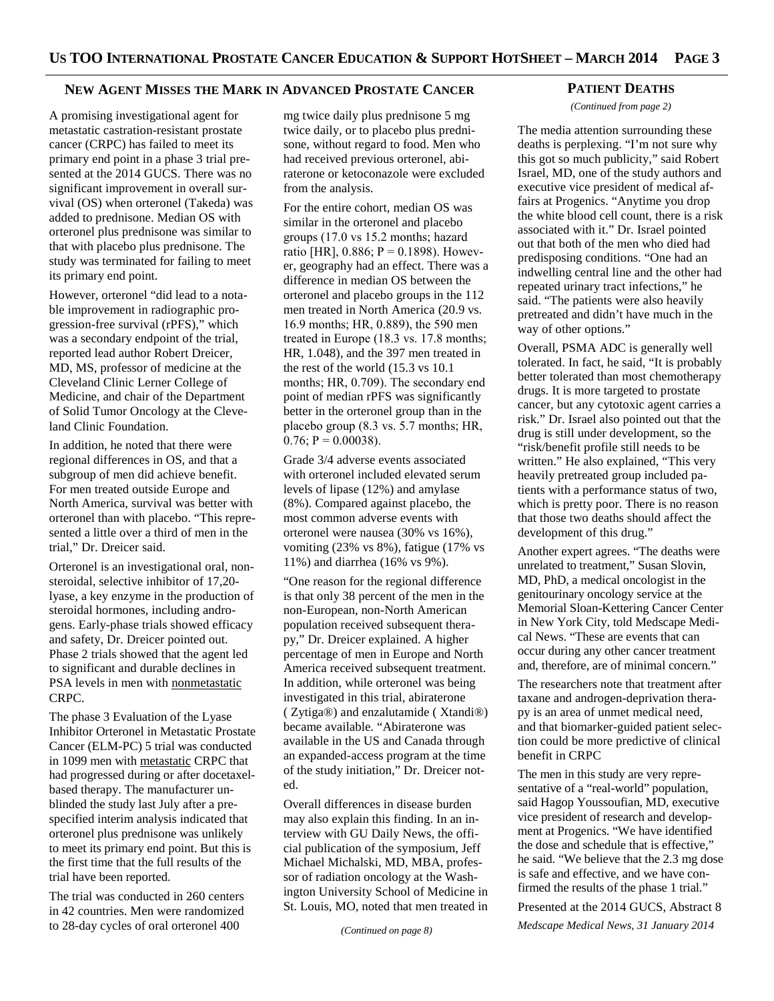## **NEW AGENT MISSES THE MARK IN ADVANCED PROSTATE CANCER**

A promising investigational agent for metastatic castration-resistant prostate cancer (CRPC) has failed to meet its primary end point in a phase 3 trial presented at the 2014 GUCS. There was no significant improvement in overall survival (OS) when orteronel (Takeda) was added to prednisone. Median OS with orteronel plus prednisone was similar to that with placebo plus prednisone. The study was terminated for failing to meet its primary end point.

However, orteronel "did lead to a notable improvement in radiographic progression-free survival (rPFS)," which was a secondary endpoint of the trial, reported lead author Robert Dreicer, MD, MS, professor of medicine at the Cleveland Clinic Lerner College of Medicine, and chair of the Department of Solid Tumor Oncology at the Cleveland Clinic Foundation.

In addition, he noted that there were regional differences in OS, and that a subgroup of men did achieve benefit. For men treated outside Europe and North America, survival was better with orteronel than with placebo. "This represented a little over a third of men in the trial," Dr. Dreicer said.

Orteronel is an investigational oral, nonsteroidal, selective inhibitor of 17,20 lyase, a key enzyme in the production of steroidal hormones, including androgens. Early-phase trials showed efficacy and safety, Dr. Dreicer pointed out. Phase 2 trials showed that the agent led to significant and durable declines in PSA levels in men with nonmetastatic CRPC.

The phase 3 Evaluation of the Lyase Inhibitor Orteronel in Metastatic Prostate Cancer (ELM-PC) 5 trial was conducted in 1099 men with metastatic CRPC that had progressed during or after docetaxelbased therapy. The manufacturer unblinded the study last July after a prespecified interim analysis indicated that orteronel plus prednisone was unlikely to meet its primary end point. But this is the first time that the full results of the trial have been reported.

The trial was conducted in 260 centers in 42 countries. Men were randomized to 28-day cycles of oral orteronel 400

mg twice daily plus prednisone 5 mg twice daily, or to placebo plus prednisone, without regard to food. Men who had received previous orteronel, abiraterone or ketoconazole were excluded from the analysis.

For the entire cohort, median OS was similar in the orteronel and placebo groups (17.0 vs 15.2 months; hazard ratio [HR],  $0.886$ ; P = 0.1898). However, geography had an effect. There was a difference in median OS between the orteronel and placebo groups in the 112 men treated in North America (20.9 vs. 16.9 months; HR, 0.889), the 590 men treated in Europe (18.3 vs. 17.8 months; HR, 1.048), and the 397 men treated in the rest of the world (15.3 vs 10.1 months; HR, 0.709). The secondary end point of median rPFS was significantly better in the orteronel group than in the placebo group (8.3 vs. 5.7 months; HR,  $0.76$ :  $P = 0.00038$ ).

Grade 3/4 adverse events associated with orteronel included elevated serum levels of lipase (12%) and amylase (8%). Compared against placebo, the most common adverse events with orteronel were nausea (30% vs 16%), vomiting (23% vs 8%), fatigue (17% vs 11%) and diarrhea (16% vs 9%).

"One reason for the regional difference is that only 38 percent of the men in the non-European, non-North American population received subsequent therapy," Dr. Dreicer explained. A higher percentage of men in Europe and North America received subsequent treatment. In addition, while orteronel was being investigated in this trial, abiraterone ( Zytiga®) and enzalutamide ( Xtandi®) became available. "Abiraterone was available in the US and Canada through an expanded-access program at the time of the study initiation," Dr. Dreicer noted.

Overall differences in disease burden may also explain this finding. In an interview with GU Daily News, the official publication of the symposium, Jeff Michael Michalski, MD, MBA, professor of radiation oncology at the Washington University School of Medicine in St. Louis, MO, noted that men treated in

### **PATIENT DEATHS**

*(Continued from page 2)* 

The media attention surrounding these deaths is perplexing. "I'm not sure why this got so much publicity," said Robert Israel, MD, one of the study authors and executive vice president of medical affairs at Progenics. "Anytime you drop the white blood cell count, there is a risk associated with it." Dr. Israel pointed out that both of the men who died had predisposing conditions. "One had an indwelling central line and the other had repeated urinary tract infections," he said. "The patients were also heavily pretreated and didn't have much in the way of other options."

Overall, PSMA ADC is generally well tolerated. In fact, he said, "It is probably better tolerated than most chemotherapy drugs. It is more targeted to prostate cancer, but any cytotoxic agent carries a risk." Dr. Israel also pointed out that the drug is still under development, so the "risk/benefit profile still needs to be written." He also explained, "This very heavily pretreated group included patients with a performance status of two, which is pretty poor. There is no reason that those two deaths should affect the development of this drug."

Another expert agrees. "The deaths were unrelated to treatment," Susan Slovin, MD, PhD, a medical oncologist in the genitourinary oncology service at the Memorial Sloan-Kettering Cancer Center in New York City, told Medscape Medical News. "These are events that can occur during any other cancer treatment and, therefore, are of minimal concern."

The researchers note that treatment after taxane and androgen-deprivation therapy is an area of unmet medical need, and that biomarker-guided patient selection could be more predictive of clinical benefit in CRPC

The men in this study are very representative of a "real-world" population, said Hagop Youssoufian, MD, executive vice president of research and development at Progenics. "We have identified the dose and schedule that is effective," he said. "We believe that the 2.3 mg dose is safe and effective, and we have confirmed the results of the phase 1 trial."

Presented at the 2014 GUCS, Abstract 8

*Medscape Medical News, 31 January 2014* 

*<sup>(</sup>Continued on page 8)*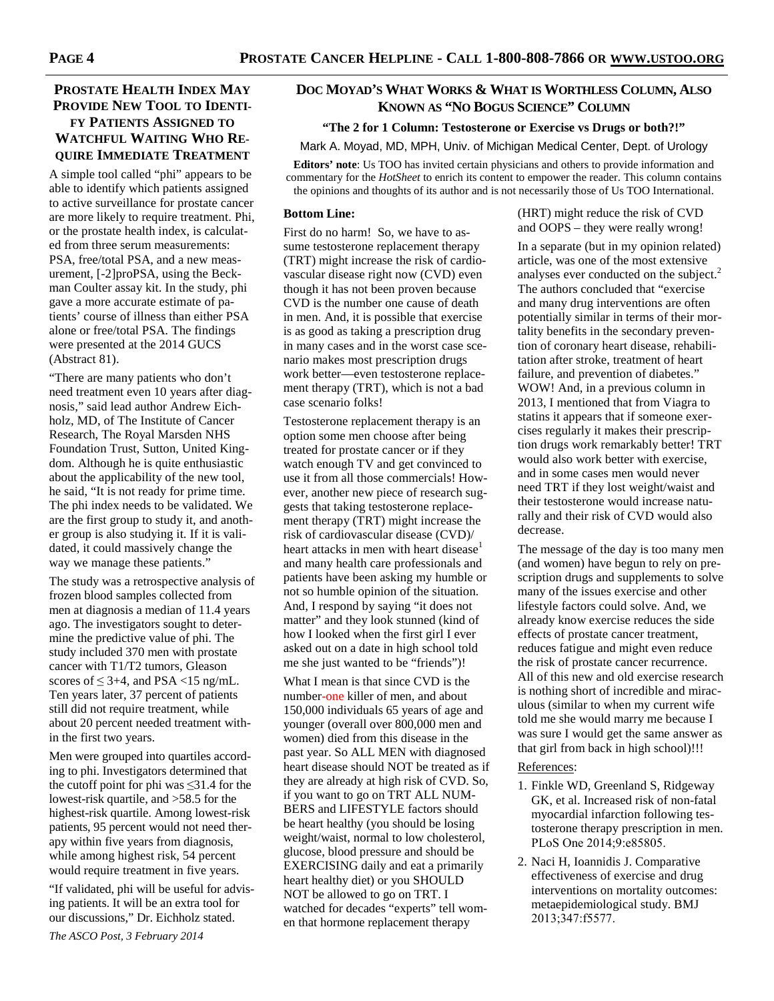# **PROSTATE HEALTH INDEX MAY PROVIDE NEW TOOL TO IDENTI-FY PATIENTS ASSIGNED TO WATCHFUL WAITING WHO RE-QUIRE IMMEDIATE TREATMENT**

A simple tool called "phi" appears to be able to identify which patients assigned to active surveillance for prostate cancer are more likely to require treatment. Phi, or the prostate health index, is calculated from three serum measurements: PSA, free/total PSA, and a new measurement, [-2]proPSA, using the Beckman Coulter assay kit. In the study, phi gave a more accurate estimate of patients' course of illness than either PSA alone or free/total PSA. The findings were presented at the 2014 GUCS (Abstract 81).

"There are many patients who don't need treatment even 10 years after diagnosis," said lead author Andrew Eichholz, MD, of The Institute of Cancer Research, The Royal Marsden NHS Foundation Trust, Sutton, United Kingdom. Although he is quite enthusiastic about the applicability of the new tool, he said, "It is not ready for prime time. The phi index needs to be validated. We are the first group to study it, and another group is also studying it. If it is validated, it could massively change the way we manage these patients."

The study was a retrospective analysis of frozen blood samples collected from men at diagnosis a median of 11.4 years ago. The investigators sought to determine the predictive value of phi. The study included 370 men with prostate cancer with T1/T2 tumors, Gleason scores of  $\leq$  3+4, and PSA  $\lt$ 15 ng/mL. Ten years later, 37 percent of patients still did not require treatment, while about 20 percent needed treatment within the first two years.

Men were grouped into quartiles according to phi. Investigators determined that the cutoff point for phi was  $\leq 31.4$  for the lowest-risk quartile, and >58.5 for the highest-risk quartile. Among lowest-risk patients, 95 percent would not need therapy within five years from diagnosis, while among highest risk, 54 percent would require treatment in five years.

"If validated, phi will be useful for advising patients. It will be an extra tool for our discussions," Dr. Eichholz stated. *The ASCO Post, 3 February 2014* 

## **DOC MOYAD'S WHAT WORKS & WHAT IS WORTHLESS COLUMN, ALSO KNOWN AS "NO BOGUS SCIENCE" COLUMN**

#### **"The 2 for 1 Column: Testosterone or Exercise vs Drugs or both?!"**

Mark A. Moyad, MD, MPH, Univ. of Michigan Medical Center, Dept. of Urology

**Editors' note**: Us TOO has invited certain physicians and others to provide information and commentary for the *HotSheet* to enrich its content to empower the reader. This column contains the opinions and thoughts of its author and is not necessarily those of Us TOO International.

#### **Bottom Line:**

First do no harm! So, we have to assume testosterone replacement therapy (TRT) might increase the risk of cardiovascular disease right now (CVD) even though it has not been proven because CVD is the number one cause of death in men. And, it is possible that exercise is as good as taking a prescription drug in many cases and in the worst case scenario makes most prescription drugs work better—even testosterone replacement therapy (TRT), which is not a bad case scenario folks!

Testosterone replacement therapy is an option some men choose after being treated for prostate cancer or if they watch enough TV and get convinced to use it from all those commercials! However, another new piece of research suggests that taking testosterone replacement therapy (TRT) might increase the risk of cardiovascular disease (CVD)/ heart attacks in men with heart disease<sup>1</sup> and many health care professionals and patients have been asking my humble or not so humble opinion of the situation. And, I respond by saying "it does not matter" and they look stunned (kind of how I looked when the first girl I ever asked out on a date in high school told me she just wanted to be "friends")!

What I mean is that since CVD is the number-one killer of men, and about 150,000 individuals 65 years of age and younger (overall over 800,000 men and women) died from this disease in the past year. So ALL MEN with diagnosed heart disease should NOT be treated as if they are already at high risk of CVD. So, if you want to go on TRT ALL NUM-BERS and LIFESTYLE factors should be heart healthy (you should be losing weight/waist, normal to low cholesterol, glucose, blood pressure and should be EXERCISING daily and eat a primarily heart healthy diet) or you SHOULD NOT be allowed to go on TRT. I watched for decades "experts" tell women that hormone replacement therapy

(HRT) might reduce the risk of CVD and OOPS – they were really wrong!

In a separate (but in my opinion related) article, was one of the most extensive analyses ever conducted on the subject.<sup>2</sup> The authors concluded that "exercise and many drug interventions are often potentially similar in terms of their mortality benefits in the secondary prevention of coronary heart disease, rehabilitation after stroke, treatment of heart failure, and prevention of diabetes." WOW! And, in a previous column in 2013, I mentioned that from Viagra to statins it appears that if someone exercises regularly it makes their prescription drugs work remarkably better! TRT would also work better with exercise, and in some cases men would never need TRT if they lost weight/waist and their testosterone would increase naturally and their risk of CVD would also decrease.

The message of the day is too many men (and women) have begun to rely on prescription drugs and supplements to solve many of the issues exercise and other lifestyle factors could solve. And, we already know exercise reduces the side effects of prostate cancer treatment, reduces fatigue and might even reduce the risk of prostate cancer recurrence. All of this new and old exercise research is nothing short of incredible and miraculous (similar to when my current wife told me she would marry me because I was sure I would get the same answer as that girl from back in high school)!!!

#### References:

- 1. Finkle WD, Greenland S, Ridgeway GK, et al. Increased risk of non-fatal myocardial infarction following testosterone therapy prescription in men. PLoS One 2014;9:e85805.
- 2. Naci H, Ioannidis J. Comparative effectiveness of exercise and drug interventions on mortality outcomes: metaepidemiological study. BMJ 2013;347:f5577.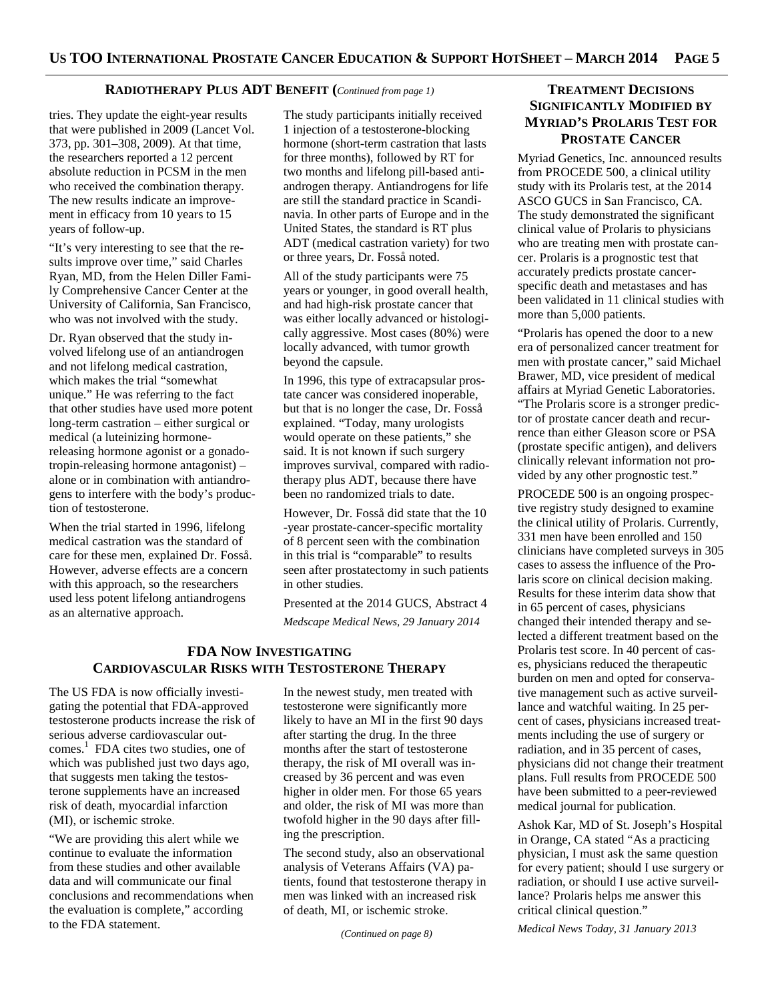## **RADIOTHERAPY PLUS ADT BENEFIT (***Continued from page 1)*

tries. They update the eight-year results that were published in 2009 (Lancet Vol. 373, pp. 301–308, 2009). At that time, the researchers reported a 12 percent absolute reduction in PCSM in the men who received the combination therapy. The new results indicate an improvement in efficacy from 10 years to 15 years of follow-up.

"It's very interesting to see that the results improve over time," said Charles Ryan, MD, from the Helen Diller Family Comprehensive Cancer Center at the University of California, San Francisco, who was not involved with the study.

Dr. Ryan observed that the study involved lifelong use of an antiandrogen and not lifelong medical castration, which makes the trial "somewhat unique." He was referring to the fact that other studies have used more potent long-term castration – either surgical or medical (a luteinizing hormonereleasing hormone agonist or a gonadotropin-releasing hormone antagonist) – alone or in combination with antiandrogens to interfere with the body's production of testosterone.

When the trial started in 1996, lifelong medical castration was the standard of care for these men, explained Dr. Fosså. However, adverse effects are a concern with this approach, so the researchers used less potent lifelong antiandrogens as an alternative approach.

The study participants initially received 1 injection of a testosterone-blocking hormone (short-term castration that lasts for three months), followed by RT for two months and lifelong pill-based antiandrogen therapy. Antiandrogens for life are still the standard practice in Scandinavia. In other parts of Europe and in the United States, the standard is RT plus ADT (medical castration variety) for two or three years, Dr. Fosså noted.

All of the study participants were 75 years or younger, in good overall health, and had high-risk prostate cancer that was either locally advanced or histologically aggressive. Most cases (80%) were locally advanced, with tumor growth beyond the capsule.

In 1996, this type of extracapsular prostate cancer was considered inoperable, but that is no longer the case, Dr. Fosså explained. "Today, many urologists would operate on these patients," she said. It is not known if such surgery improves survival, compared with radiotherapy plus ADT, because there have been no randomized trials to date.

However, Dr. Fosså did state that the 10 -year prostate-cancer-specific mortality of 8 percent seen with the combination in this trial is "comparable" to results seen after prostatectomy in such patients in other studies.

Presented at the 2014 GUCS, Abstract 4 *Medscape Medical News, 29 January 2014* 

## **FDA NOW INVESTIGATING CARDIOVASCULAR RISKS WITH TESTOSTERONE THERAPY**

The US FDA is now officially investigating the potential that FDA-approved testosterone products increase the risk of serious adverse cardiovascular outcomes.<sup>1</sup> FDA cites two studies, one of which was published just two days ago, that suggests men taking the testosterone supplements have an increased risk of death, myocardial infarction (MI), or ischemic stroke.

"We are providing this alert while we continue to evaluate the information from these studies and other available data and will communicate our final conclusions and recommendations when the evaluation is complete," according to the FDA statement.

In the newest study, men treated with testosterone were significantly more likely to have an MI in the first 90 days after starting the drug. In the three months after the start of testosterone therapy, the risk of MI overall was increased by 36 percent and was even higher in older men. For those 65 years and older, the risk of MI was more than twofold higher in the 90 days after filling the prescription.

The second study, also an observational analysis of Veterans Affairs (VA) patients, found that testosterone therapy in men was linked with an increased risk of death, MI, or ischemic stroke.

*(Continued on page 8)* 

# **TREATMENT DECISIONS SIGNIFICANTLY MODIFIED BY MYRIAD'S PROLARIS TEST FOR PROSTATE CANCER**

Myriad Genetics, Inc. announced results from PROCEDE 500, a clinical utility study with its Prolaris test, at the 2014 ASCO GUCS in San Francisco, CA. The study demonstrated the significant clinical value of Prolaris to physicians who are treating men with prostate cancer. Prolaris is a prognostic test that accurately predicts prostate cancerspecific death and metastases and has been validated in 11 clinical studies with more than 5,000 patients.

"Prolaris has opened the door to a new era of personalized cancer treatment for men with prostate cancer," said Michael Brawer, MD, vice president of medical affairs at Myriad Genetic Laboratories. "The Prolaris score is a stronger predictor of prostate cancer death and recurrence than either Gleason score or PSA (prostate specific antigen), and delivers clinically relevant information not provided by any other prognostic test."

PROCEDE 500 is an ongoing prospective registry study designed to examine the clinical utility of Prolaris. Currently, 331 men have been enrolled and 150 clinicians have completed surveys in 305 cases to assess the influence of the Prolaris score on clinical decision making. Results for these interim data show that in 65 percent of cases, physicians changed their intended therapy and selected a different treatment based on the Prolaris test score. In 40 percent of cases, physicians reduced the therapeutic burden on men and opted for conservative management such as active surveillance and watchful waiting. In 25 percent of cases, physicians increased treatments including the use of surgery or radiation, and in 35 percent of cases, physicians did not change their treatment plans. Full results from PROCEDE 500 have been submitted to a peer-reviewed medical journal for publication.

Ashok Kar, MD of St. Joseph's Hospital in Orange, CA stated "As a practicing physician, I must ask the same question for every patient; should I use surgery or radiation, or should I use active surveillance? Prolaris helps me answer this critical clinical question."

*Medical News Today, 31 January 2013*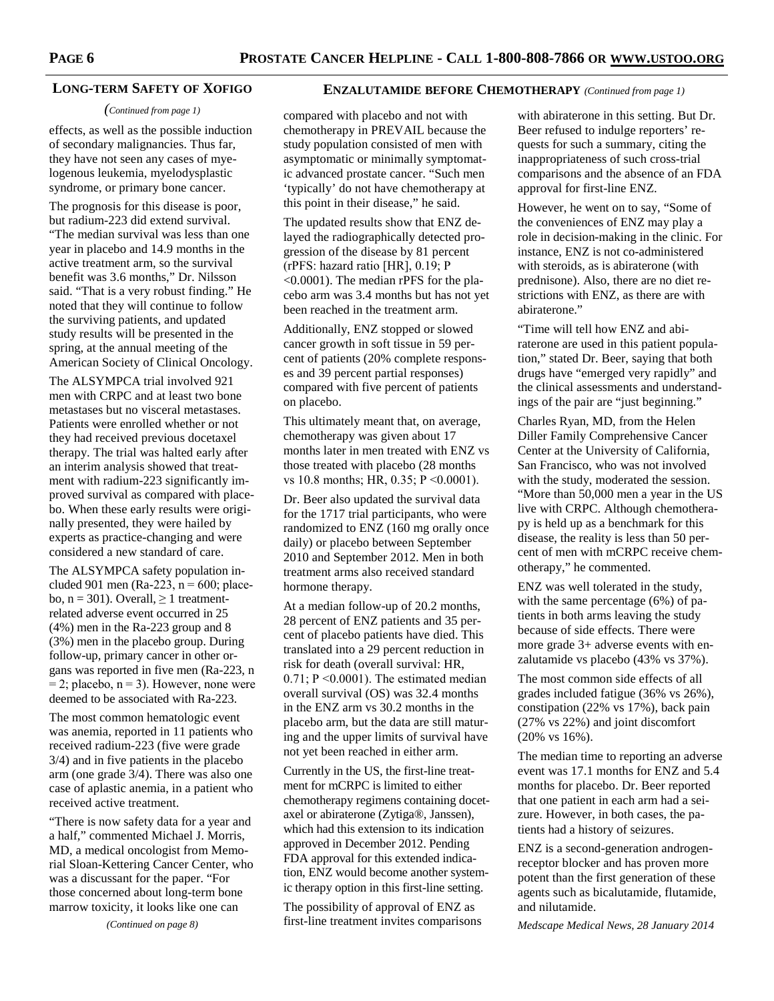#### **LONG-TERM SAFETY OF XOFIGO**

#### *(Continued from page 1)*

effects, as well as the possible induction of secondary malignancies. Thus far, they have not seen any cases of myelogenous leukemia, myelodysplastic syndrome, or primary bone cancer.

The prognosis for this disease is poor, but radium-223 did extend survival. "The median survival was less than one year in placebo and 14.9 months in the active treatment arm, so the survival benefit was 3.6 months," Dr. Nilsson said. "That is a very robust finding." He noted that they will continue to follow the surviving patients, and updated study results will be presented in the spring, at the annual meeting of the American Society of Clinical Oncology.

The ALSYMPCA trial involved 921 men with CRPC and at least two bone metastases but no visceral metastases. Patients were enrolled whether or not they had received previous docetaxel therapy. The trial was halted early after an interim analysis showed that treatment with radium-223 significantly improved survival as compared with placebo. When these early results were originally presented, they were hailed by experts as practice-changing and were considered a new standard of care.

The ALSYMPCA safety population included 901 men (Ra-223,  $n = 600$ ; placebo,  $n = 301$ ). Overall,  $\geq 1$  treatmentrelated adverse event occurred in 25 (4%) men in the Ra-223 group and 8 (3%) men in the placebo group. During follow-up, primary cancer in other organs was reported in five men (Ra-223, n  $= 2$ ; placebo,  $n = 3$ ). However, none were deemed to be associated with Ra-223.

The most common hematologic event was anemia, reported in 11 patients who received radium-223 (five were grade 3/4) and in five patients in the placebo arm (one grade 3/4). There was also one case of aplastic anemia, in a patient who received active treatment.

"There is now safety data for a year and a half," commented Michael J. Morris, MD, a medical oncologist from Memorial Sloan-Kettering Cancer Center, who was a discussant for the paper. "For those concerned about long-term bone marrow toxicity, it looks like one can

*(Continued on page 8)* 

#### **ENZALUTAMIDE BEFORE CHEMOTHERAPY** *(Continued from page 1)*

compared with placebo and not with chemotherapy in PREVAIL because the study population consisted of men with asymptomatic or minimally symptomatic advanced prostate cancer. "Such men 'typically' do not have chemotherapy at this point in their disease," he said.

The updated results show that ENZ delayed the radiographically detected progression of the disease by 81 percent (rPFS: hazard ratio [HR], 0.19; P <0.0001). The median rPFS for the placebo arm was 3.4 months but has not yet been reached in the treatment arm.

Additionally, ENZ stopped or slowed cancer growth in soft tissue in 59 percent of patients (20% complete responses and 39 percent partial responses) compared with five percent of patients on placebo.

This ultimately meant that, on average, chemotherapy was given about 17 months later in men treated with ENZ vs those treated with placebo (28 months vs 10.8 months; HR, 0.35; P <0.0001).

Dr. Beer also updated the survival data for the 1717 trial participants, who were randomized to ENZ (160 mg orally once daily) or placebo between September 2010 and September 2012. Men in both treatment arms also received standard hormone therapy.

At a median follow-up of 20.2 months, 28 percent of ENZ patients and 35 percent of placebo patients have died. This translated into a 29 percent reduction in risk for death (overall survival: HR, 0.71; P <0.0001). The estimated median overall survival (OS) was 32.4 months in the ENZ arm vs 30.2 months in the placebo arm, but the data are still maturing and the upper limits of survival have not yet been reached in either arm.

Currently in the US, the first-line treatment for mCRPC is limited to either chemotherapy regimens containing docetaxel or abiraterone (Zytiga®, Janssen), which had this extension to its indication approved in December 2012. Pending FDA approval for this extended indication, ENZ would become another systemic therapy option in this first-line setting.

The possibility of approval of ENZ as first-line treatment invites comparisons

with abiraterone in this setting. But Dr. Beer refused to indulge reporters' requests for such a summary, citing the inappropriateness of such cross-trial comparisons and the absence of an FDA approval for first-line ENZ.

However, he went on to say, "Some of the conveniences of ENZ may play a role in decision-making in the clinic. For instance, ENZ is not co-administered with steroids, as is abiraterone (with prednisone). Also, there are no diet restrictions with ENZ, as there are with abiraterone."

"Time will tell how ENZ and abiraterone are used in this patient population," stated Dr. Beer, saying that both drugs have "emerged very rapidly" and the clinical assessments and understandings of the pair are "just beginning."

Charles Ryan, MD, from the Helen Diller Family Comprehensive Cancer Center at the University of California, San Francisco, who was not involved with the study, moderated the session. "More than 50,000 men a year in the US live with CRPC. Although chemotherapy is held up as a benchmark for this disease, the reality is less than 50 percent of men with mCRPC receive chemotherapy," he commented.

ENZ was well tolerated in the study, with the same percentage (6%) of patients in both arms leaving the study because of side effects. There were more grade 3+ adverse events with enzalutamide vs placebo (43% vs 37%).

The most common side effects of all grades included fatigue (36% vs 26%), constipation (22% vs 17%), back pain (27% vs 22%) and joint discomfort (20% vs 16%).

The median time to reporting an adverse event was 17.1 months for ENZ and 5.4 months for placebo. Dr. Beer reported that one patient in each arm had a seizure. However, in both cases, the patients had a history of seizures.

ENZ is a second-generation androgenreceptor blocker and has proven more potent than the first generation of these agents such as bicalutamide, flutamide, and nilutamide.

*Medscape Medical News, 28 January 2014*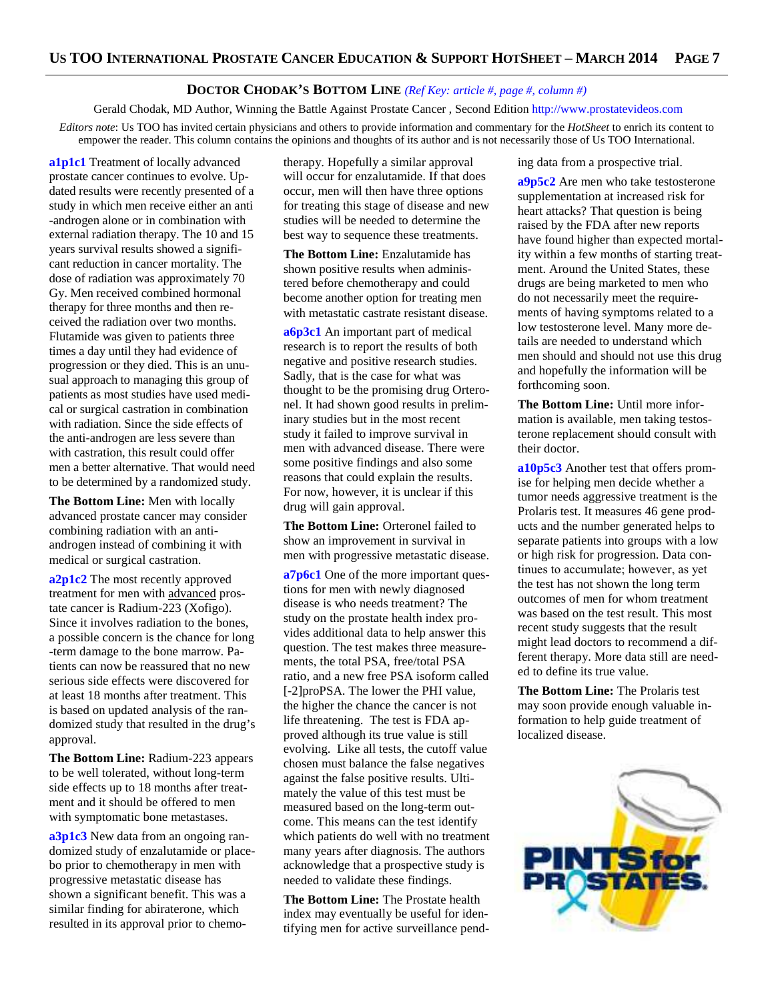## **DOCTOR CHODAK'S BOTTOM LINE** *(Ref Key: article #, page #, column #)*

Gerald Chodak, MD Author, Winning the Battle Against Prostate Cancer , Second Edition http://www.prostatevideos.com *Editors note*: Us TOO has invited certain physicians and others to provide information and commentary for the *HotSheet* to enrich its content to empower the reader. This column contains the opinions and thoughts of its author and is not necessarily those of Us TOO International.

**a1p1c1** Treatment of locally advanced prostate cancer continues to evolve. Updated results were recently presented of a study in which men receive either an anti -androgen alone or in combination with external radiation therapy. The 10 and 15 years survival results showed a significant reduction in cancer mortality. The dose of radiation was approximately 70 Gy. Men received combined hormonal therapy for three months and then received the radiation over two months. Flutamide was given to patients three times a day until they had evidence of progression or they died. This is an unusual approach to managing this group of patients as most studies have used medical or surgical castration in combination with radiation. Since the side effects of the anti-androgen are less severe than with castration, this result could offer men a better alternative. That would need to be determined by a randomized study.

**The Bottom Line:** Men with locally advanced prostate cancer may consider combining radiation with an antiandrogen instead of combining it with medical or surgical castration.

**a2p1c2** The most recently approved treatment for men with advanced prostate cancer is Radium-223 (Xofigo). Since it involves radiation to the bones, a possible concern is the chance for long -term damage to the bone marrow. Patients can now be reassured that no new serious side effects were discovered for at least 18 months after treatment. This is based on updated analysis of the randomized study that resulted in the drug's approval.

**The Bottom Line:** Radium-223 appears to be well tolerated, without long-term side effects up to 18 months after treatment and it should be offered to men with symptomatic bone metastases.

**a3p1c3** New data from an ongoing randomized study of enzalutamide or placebo prior to chemotherapy in men with progressive metastatic disease has shown a significant benefit. This was a similar finding for abiraterone, which resulted in its approval prior to chemo-

therapy. Hopefully a similar approval will occur for enzalutamide. If that does occur, men will then have three options for treating this stage of disease and new studies will be needed to determine the best way to sequence these treatments.

**The Bottom Line:** Enzalutamide has shown positive results when administered before chemotherapy and could become another option for treating men with metastatic castrate resistant disease.

**a6p3c1** An important part of medical research is to report the results of both negative and positive research studies. Sadly, that is the case for what was thought to be the promising drug Orteronel. It had shown good results in preliminary studies but in the most recent study it failed to improve survival in men with advanced disease. There were some positive findings and also some reasons that could explain the results. For now, however, it is unclear if this drug will gain approval.

**The Bottom Line:** Orteronel failed to show an improvement in survival in men with progressive metastatic disease.

**a7p6c1** One of the more important questions for men with newly diagnosed disease is who needs treatment? The study on the prostate health index provides additional data to help answer this question. The test makes three measurements, the total PSA, free/total PSA ratio, and a new free PSA isoform called [-2]proPSA. The lower the PHI value, the higher the chance the cancer is not life threatening. The test is FDA approved although its true value is still evolving. Like all tests, the cutoff value chosen must balance the false negatives against the false positive results. Ultimately the value of this test must be measured based on the long-term outcome. This means can the test identify which patients do well with no treatment many years after diagnosis. The authors acknowledge that a prospective study is needed to validate these findings.

**The Bottom Line:** The Prostate health index may eventually be useful for identifying men for active surveillance pending data from a prospective trial.

**a9p5c2** Are men who take testosterone supplementation at increased risk for heart attacks? That question is being raised by the FDA after new reports have found higher than expected mortality within a few months of starting treatment. Around the United States, these drugs are being marketed to men who do not necessarily meet the requirements of having symptoms related to a low testosterone level. Many more details are needed to understand which men should and should not use this drug and hopefully the information will be forthcoming soon.

**The Bottom Line:** Until more information is available, men taking testosterone replacement should consult with their doctor.

**a10p5c3** Another test that offers promise for helping men decide whether a tumor needs aggressive treatment is the Prolaris test. It measures 46 gene products and the number generated helps to separate patients into groups with a low or high risk for progression. Data continues to accumulate; however, as yet the test has not shown the long term outcomes of men for whom treatment was based on the test result. This most recent study suggests that the result might lead doctors to recommend a different therapy. More data still are needed to define its true value.

**The Bottom Line:** The Prolaris test may soon provide enough valuable information to help guide treatment of localized disease.